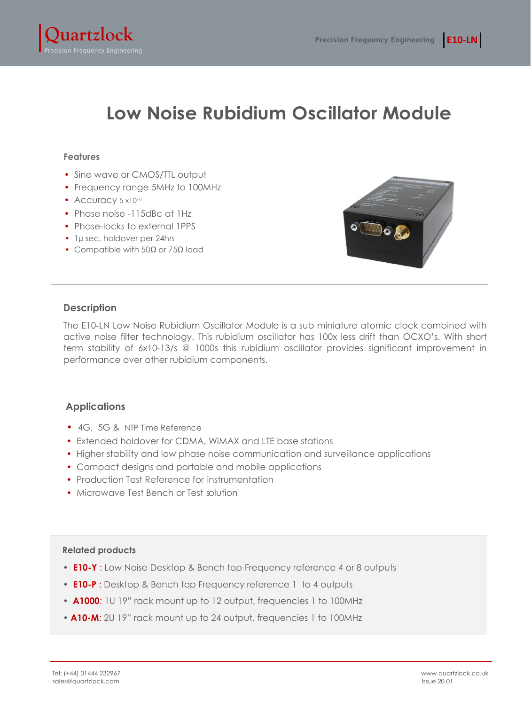

# **Low Noise Rubidium Oscillator Module**

#### **Features**

- Sine wave or CMOS/TTL output
- Frequency range 5MHz to 100MHz
- Accuracy  $5 \times 10^{-11}$
- Phase noise -115dBc at 1Hz
- Phase-locks to external 1PPS
- 1µ sec. holdover per 24hrs
- Compatible with 50Ω or 75Ω load



## **Description**

The E10‐LN Low Noise Rubidium Oscillator Module is a sub miniature atomic clock combined with active noise filter technology. This rubidium oscillator has 100x less drift than OCXO's. With short term stability of 6x10‐13/s @ 1000s this rubidium oscillator provides significant improvement in performance over other rubidium components.

## **Applications**

- 4G, 5G & NTP Time Reference
- Extended holdover for CDMA, WiMAX and LTE base stations
- Higher stability and low phase noise communication and surveillance applications
- Compact designs and portable and mobile applications
- Production Test Reference for instrumentation
- Microwave Test Bench or Test solution

#### **Related products**

- **E10-Y** : Low Noise Desktop & Bench top Frequency reference 4 or 8 outputs
- **E10-P** : Desktop & Bench top Frequency reference 1 to 4 outputs
- **A1000**: 1U 19" rack mount up to 12 output, frequencies 1 to 100MHz
- **A10-M**: 2U 19" rack mount up to 24 output, frequencies 1 to 100MHz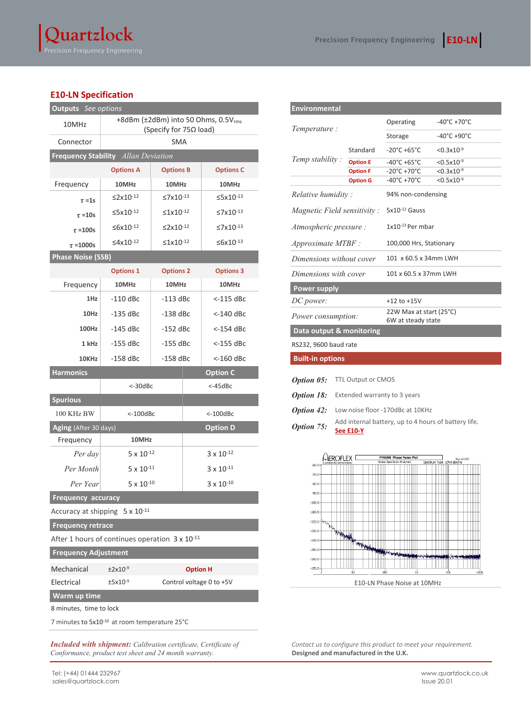## **E10-LN Specification**

| <b>Outputs</b> See options                                                           |                                                                      |                            |                      |  |  |
|--------------------------------------------------------------------------------------|----------------------------------------------------------------------|----------------------------|----------------------|--|--|
| 10MHz                                                                                | +8dBm (±2dBm) into 50 Ohms, 0.5Vrms<br>(Specify for $75\Omega$ load) |                            |                      |  |  |
| Connector                                                                            | <b>SMA</b>                                                           |                            |                      |  |  |
| Frequency Stability Allan Deviation                                                  |                                                                      |                            |                      |  |  |
|                                                                                      | <b>Options A</b>                                                     | <b>Options B</b>           | <b>Options C</b>     |  |  |
| Frequency                                                                            | 10MHz<br>10MHz                                                       |                            | 10MHz                |  |  |
| $\tau = 1s$                                                                          | $≤2x10^{-12}$                                                        | ≤7x10 <sup>-13</sup>       |                      |  |  |
| $\tau = 10s$                                                                         | ≤5x10-12                                                             | $≤1x10^{-12}$              | ≤7x10-13             |  |  |
| $\tau = 100s$                                                                        | ≤6x10-12                                                             | $\leq$ 2x10 <sup>-12</sup> | ≤7x10 <sup>-13</sup> |  |  |
| $\tau = 1000s$                                                                       | $\leq 4 \times 10^{-12}$                                             | $\leq$ 1x10 <sup>-12</sup> | $≤6x10-13$           |  |  |
| <b>Phase Noise (SSB)</b>                                                             |                                                                      |                            |                      |  |  |
|                                                                                      | <b>Options 1</b><br><b>Options 2</b>                                 |                            | <b>Options 3</b>     |  |  |
| Frequency                                                                            | 10MHz                                                                | 10MHz                      | 10MHz                |  |  |
| 1Hz                                                                                  | $-110$ dBc                                                           | -113 dBc                   | <-115 dBc            |  |  |
| 10Hz                                                                                 | $-135$ dBc                                                           | $-138$ dBc                 | <-140 dBc            |  |  |
| 100Hz                                                                                | $-145$ dBc                                                           | $-152$ dBc                 | <-154 dBc            |  |  |
| 1 kHz                                                                                | -155 dBc                                                             | -155 dBc                   | <-155 dBc            |  |  |
| 10KHz                                                                                | $-158$ dBc                                                           | -158 dBc                   | <-160 dBc            |  |  |
| <b>Harmonics</b>                                                                     |                                                                      |                            | <b>Option C</b>      |  |  |
|                                                                                      | <-30dBc                                                              |                            | $<$ -45dBc           |  |  |
| <b>Spurious</b>                                                                      |                                                                      |                            |                      |  |  |
| 100 KHz BW                                                                           | $<$ -100dBc                                                          |                            | $<$ -100 $dBc$       |  |  |
| Aging (After 30 days)                                                                | <b>Option D</b>                                                      |                            |                      |  |  |
| Frequency                                                                            | 10MHz                                                                |                            |                      |  |  |
| Per day                                                                              | $5 \times 10^{-12}$                                                  |                            | $3 \times 10^{-12}$  |  |  |
| Per Month                                                                            | $5 \times 10^{-11}$                                                  |                            | $3 \times 10^{-11}$  |  |  |
| Per Year                                                                             | $5 \times 10^{-10}$                                                  |                            | $3 \times 10^{-10}$  |  |  |
| <b>Frequency accuracy</b>                                                            |                                                                      |                            |                      |  |  |
| Accuracy at shipping 5 x 10-11                                                       |                                                                      |                            |                      |  |  |
| <b>Frequency retrace</b>                                                             |                                                                      |                            |                      |  |  |
| After 1 hours of continues operation 3 x 10 <sup>-11</sup>                           |                                                                      |                            |                      |  |  |
| <b>Frequency Adjustment</b>                                                          |                                                                      |                            |                      |  |  |
| Mechanical                                                                           | $±2x10^{-9}$                                                         |                            | <b>Option H</b>      |  |  |
| Electrical                                                                           | $±5x10-9$<br>Control voltage 0 to +5V                                |                            |                      |  |  |
| Warm up time                                                                         |                                                                      |                            |                      |  |  |
| 8 minutes, time to lock<br>7 minutes to 5x10 <sup>-10</sup> at room temperature 25°C |                                                                      |                            |                      |  |  |
|                                                                                      |                                                                      |                            |                      |  |  |

*Included with shipment: Calibration certificate, Certificate of Conformance, product test sheet and 24 month warranty.*

| <b>Environmental</b>                                                                   |                                  |                                               |                                  |  |  |
|----------------------------------------------------------------------------------------|----------------------------------|-----------------------------------------------|----------------------------------|--|--|
| Temperature:                                                                           |                                  | Operating                                     | $-40^{\circ}$ C +70 $^{\circ}$ C |  |  |
|                                                                                        |                                  | Storage                                       | -40°C +90°C                      |  |  |
| Temp stability:                                                                        | Standard                         | $-20^{\circ}$ C +65 $^{\circ}$ C              | $<$ 0.3x10 <sup>-9</sup>         |  |  |
|                                                                                        | <b>Option E</b>                  | $-40^{\circ}$ C +65 $^{\circ}$ C              | $<$ 0.5x10 <sup>-9</sup>         |  |  |
|                                                                                        | <b>Option F</b>                  | $-20^{\circ}$ C +70 $^{\circ}$ C              | $< 0.3x10^{-9}$                  |  |  |
|                                                                                        | <b>Option G</b>                  | $-40^{\circ}$ C +70 $^{\circ}$ C              | $<$ 0.5x10 <sup>-9</sup>         |  |  |
| Relative humidity:                                                                     |                                  | 94% non-condensing                            |                                  |  |  |
| <i>Magnetic Field sensitivity:</i>                                                     |                                  | $5x10^{-12}$ Gauss                            |                                  |  |  |
| Atmospheric pressure :                                                                 |                                  | $1x10^{-13}$ Per mbar                         |                                  |  |  |
| $Approximate MTBF$ :                                                                   |                                  | 100,000 Hrs, Stationary                       |                                  |  |  |
| Dimensions without cover                                                               |                                  | 101 x 60.5 x 34mm LWH                         |                                  |  |  |
| Dimensions with cover                                                                  |                                  | 101 x 60.5 x 37mm LWH                         |                                  |  |  |
|                                                                                        | <b>Power supply</b>              |                                               |                                  |  |  |
| DC power:                                                                              |                                  | $+12$ to $+15V$                               |                                  |  |  |
| Power consumption:                                                                     |                                  | 22W Max at start (25°C)<br>6W at steady state |                                  |  |  |
| Data output & monitoring                                                               |                                  |                                               |                                  |  |  |
| RS232, 9600 baud rate                                                                  |                                  |                                               |                                  |  |  |
| <b>Built-in options</b>                                                                |                                  |                                               |                                  |  |  |
|                                                                                        |                                  |                                               |                                  |  |  |
| Option 05:                                                                             | TTL Output or CMOS               |                                               |                                  |  |  |
| <b>Option 18:</b>                                                                      | Extended warranty to 3 years     |                                               |                                  |  |  |
| <b>Option 42:</b>                                                                      | Low noise floor -170dBc at 10KHz |                                               |                                  |  |  |
| Add internal battery, up to 4 hours of battery life.<br>Option 75:<br><b>See E10-Y</b> |                                  |                                               |                                  |  |  |



*Contact us to configure this product to meet your requirement.*  **Designed and manufactured in the U.K.**